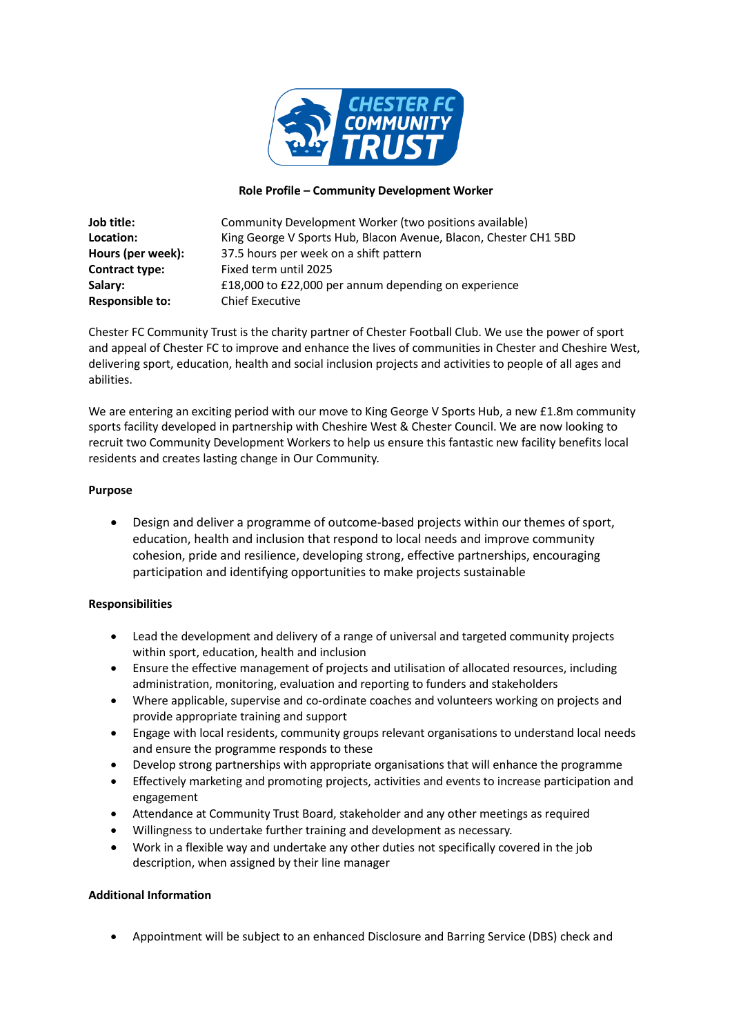

## **Role Profile – Community Development Worker**

| Job title:             | Community Development Worker (two positions available)           |
|------------------------|------------------------------------------------------------------|
| Location:              | King George V Sports Hub, Blacon Avenue, Blacon, Chester CH1 5BD |
| Hours (per week):      | 37.5 hours per week on a shift pattern                           |
| Contract type:         | Fixed term until 2025                                            |
| Salary:                | £18,000 to £22,000 per annum depending on experience             |
| <b>Responsible to:</b> | <b>Chief Executive</b>                                           |

Chester FC Community Trust is the charity partner of Chester Football Club. We use the power of sport and appeal of Chester FC to improve and enhance the lives of communities in Chester and Cheshire West, delivering sport, education, health and social inclusion projects and activities to people of all ages and abilities.

We are entering an exciting period with our move to King George V Sports Hub, a new £1.8m community sports facility developed in partnership with Cheshire West & Chester Council. We are now looking to recruit two Community Development Workers to help us ensure this fantastic new facility benefits local residents and creates lasting change in Our Community.

## **Purpose**

• Design and deliver a programme of outcome-based projects within our themes of sport, education, health and inclusion that respond to local needs and improve community cohesion, pride and resilience, developing strong, effective partnerships, encouraging participation and identifying opportunities to make projects sustainable

## **Responsibilities**

- Lead the development and delivery of a range of universal and targeted community projects within sport, education, health and inclusion
- Ensure the effective management of projects and utilisation of allocated resources, including administration, monitoring, evaluation and reporting to funders and stakeholders
- Where applicable, supervise and co-ordinate coaches and volunteers working on projects and provide appropriate training and support
- Engage with local residents, community groups relevant organisations to understand local needs and ensure the programme responds to these
- Develop strong partnerships with appropriate organisations that will enhance the programme
- Effectively marketing and promoting projects, activities and events to increase participation and engagement
- Attendance at Community Trust Board, stakeholder and any other meetings as required
- Willingness to undertake further training and development as necessary.
- Work in a flexible way and undertake any other duties not specifically covered in the job description, when assigned by their line manager

## **Additional Information**

• Appointment will be subject to an enhanced Disclosure and Barring Service (DBS) check and